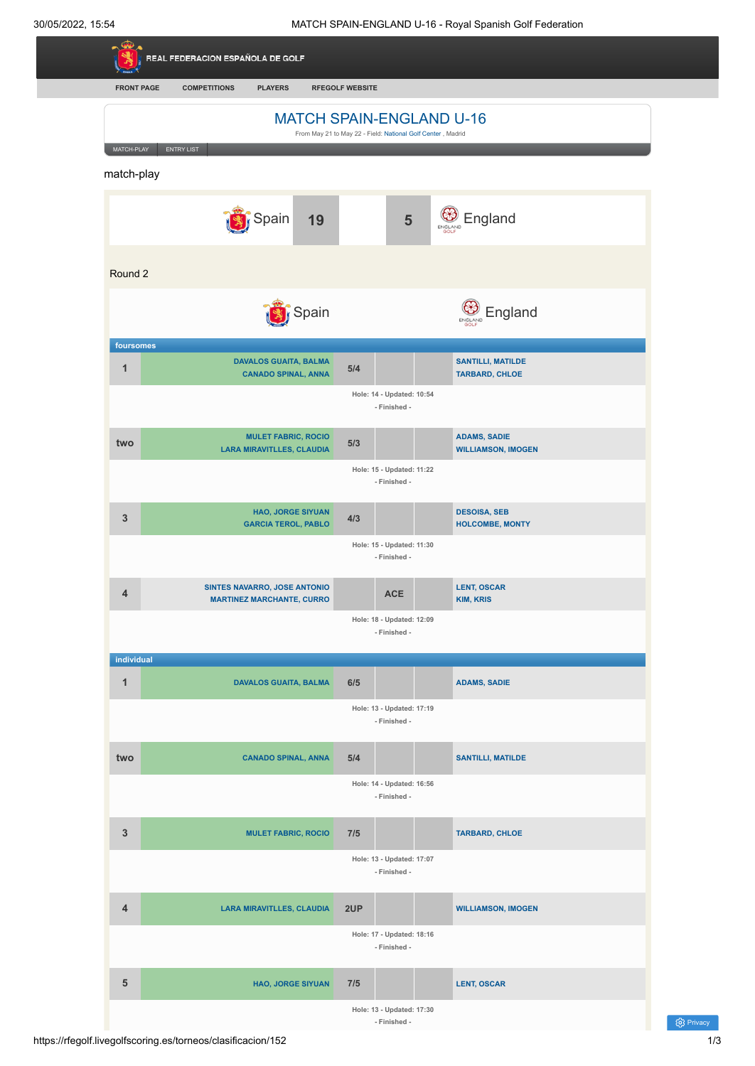| <b>FRONT PAGE</b> | <b>COMPETITIONS</b><br><b>PLAYERS</b>                          | <b>RFEGOLF WEBSITE</b>                                      |                |                                                   |
|-------------------|----------------------------------------------------------------|-------------------------------------------------------------|----------------|---------------------------------------------------|
|                   | <b>MATCH SPAIN-ENGLAND U-16</b>                                |                                                             |                |                                                   |
| MATCH-PLAY        | <b>ENTRY LIST</b>                                              | From May 21 to May 22 - Field: National Golf Center, Madrid |                |                                                   |
| match-play        |                                                                |                                                             |                |                                                   |
|                   |                                                                |                                                             |                |                                                   |
|                   | Spain<br>19                                                    |                                                             | $5\phantom{1}$ | <b>B</b> England                                  |
|                   |                                                                |                                                             |                |                                                   |
| Round 2           |                                                                |                                                             |                |                                                   |
|                   | Spain                                                          |                                                             |                | England<br>ENGLAND                                |
| foursomes         |                                                                |                                                             |                |                                                   |
| $\mathbf{1}$      | <b>DAVALOS GUAITA, BALMA</b><br><b>CANADO SPINAL, ANNA</b>     | 5/4                                                         |                | <b>SANTILLI, MATILDE</b><br><b>TARBARD, CHLOE</b> |
|                   |                                                                | Hole: 14 - Updated: 10:54                                   |                |                                                   |
|                   |                                                                |                                                             | - Finished -   |                                                   |
| two               | <b>MULET FABRIC, ROCIO</b><br><b>LARA MIRAVITLLES, CLAUDIA</b> | 5/3                                                         |                | <b>ADAMS, SADIE</b><br><b>WILLIAMSON, IMOGEN</b>  |
|                   |                                                                | Hole: 15 - Updated: 11:22                                   | - Finished -   |                                                   |
|                   |                                                                |                                                             |                |                                                   |
| $\mathbf{3}$      | <b>HAO, JORGE SIYUAN</b><br><b>GARCIA TEROL, PABLO</b>         | 4/3                                                         |                | <b>DESOISA, SEB</b><br><b>HOLCOMBE, MONTY</b>     |
|                   |                                                                | Hole: 15 - Updated: 11:30                                   | - Finished -   |                                                   |
| 4                 | <b>SINTES NAVARRO, JOSE ANTONIO</b>                            |                                                             | <b>ACE</b>     | <b>LENT, OSCAR</b>                                |
|                   | <b>MARTINEZ MARCHANTE, CURRO</b>                               | Hole: 18 - Updated: 12:09                                   |                | <b>KIM, KRIS</b>                                  |
|                   |                                                                |                                                             | - Finished -   |                                                   |
| individual        |                                                                |                                                             |                |                                                   |
| $\mathbf{1}$      | <b>DAVALOS GUAITA, BALMA</b>                                   | 6/5                                                         |                | <b>ADAMS, SADIE</b>                               |
|                   |                                                                | Hole: 13 - Updated: 17:19                                   | - Finished -   |                                                   |
| two               | <b>CANADO SPINAL, ANNA</b>                                     | 5/4                                                         |                | <b>SANTILLI, MATILDE</b>                          |
|                   |                                                                | Hole: 14 - Updated: 16:56                                   |                |                                                   |
|                   |                                                                |                                                             | - Finished -   |                                                   |
| $\mathbf{3}$      | <b>MULET FABRIC, ROCIO</b>                                     | 7/5                                                         |                | <b>TARBARD, CHLOE</b>                             |
|                   |                                                                | Hole: 13 - Updated: 17:07                                   |                |                                                   |
|                   |                                                                |                                                             | - Finished -   |                                                   |
| 4                 | <b>LARA MIRAVITLLES, CLAUDIA</b>                               | 2UP                                                         |                | <b>WILLIAMSON, IMOGEN</b>                         |
|                   |                                                                | Hole: 17 - Updated: 18:16                                   | - Finished -   |                                                   |
|                   |                                                                |                                                             |                |                                                   |
| $5\phantom{1}$    | <b>HAO, JORGE SIYUAN</b>                                       | 7/5                                                         |                | <b>LENT, OSCAR</b>                                |
|                   |                                                                | Hole: 13 - Updated: 17:30                                   | - Finished -   |                                                   |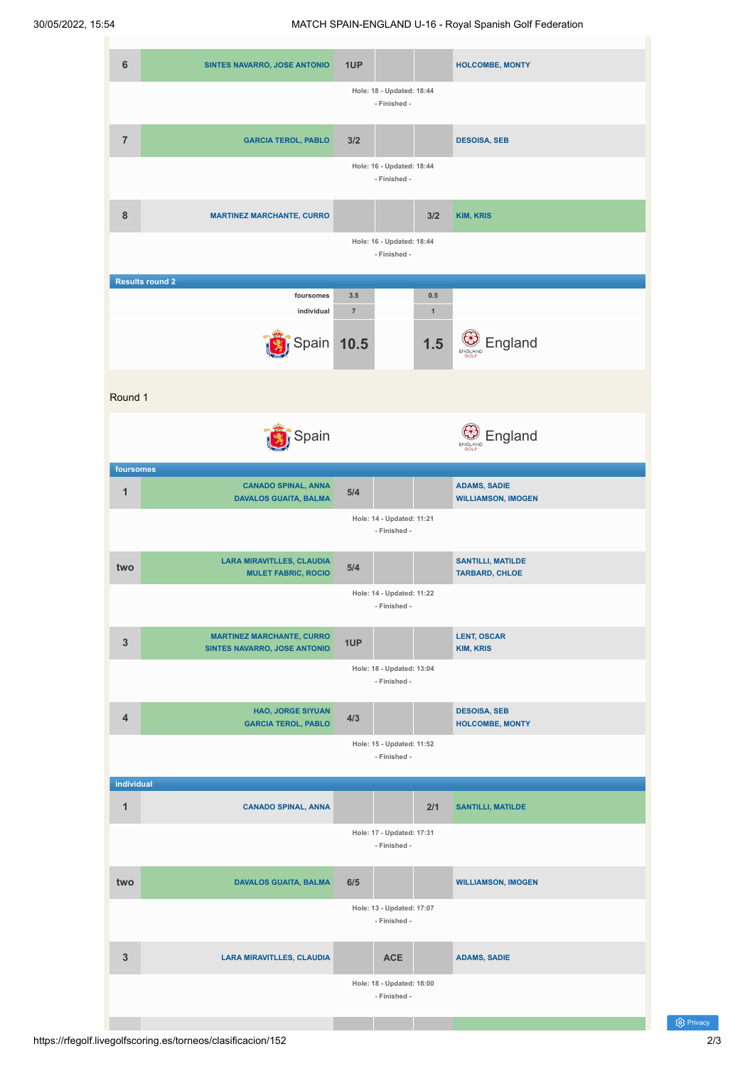

(ර) Privacy